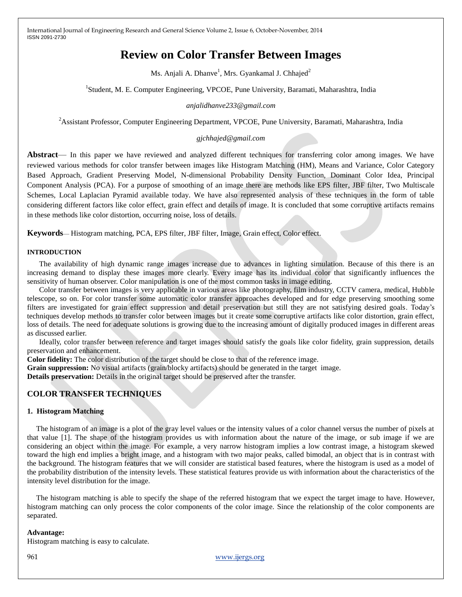# **Review on Color Transfer Between Images**

Ms. Anjali A. Dhanve $^{\rm l}$ , Mrs. Gyankamal J. Chhajed $^{\rm 2}$ 

<sup>1</sup>Student, M. E. Computer Engineering, VPCOE, Pune University, Baramati, Maharashtra, India

#### *anjalidhanve233@gmail.com*

<sup>2</sup>Assistant Professor, Computer Engineering Department, VPCOE, Pune University, Baramati, Maharashtra, India

#### *gjchhajed@gmail.com*

**Abstract**— In this paper we have reviewed and analyzed different techniques for transferring color among images. We have reviewed various methods for color transfer between images like Histogram Matching (HM), Means and Variance, Color Category Based Approach, Gradient Preserving Model, N-dimensional Probability Density Function, Dominant Color Idea, Principal Component Analysis (PCA). For a purpose of smoothing of an image there are methods like EPS filter, JBF filter, Two Multiscale Schemes, Local Laplacian Pyramid available today. We have also represented analysis of these techniques in the form of table considering different factors like color effect, grain effect and details of image. It is concluded that some corruptive artifacts remains in these methods like color distortion, occurring noise, loss of details.

**Keywords**— Histogram matching, PCA, EPS filter, JBF filter, Image, Grain effect, Color effect.

#### **INTRODUCTION**

The availability of high dynamic range images increase due to advances in lighting simulation. Because of this there is an increasing demand to display these images more clearly. Every image has its individual color that significantly influences the sensitivity of human observer. Color manipulation is one of the most common tasks in image editing.

Color transfer between images is very applicable in various areas like photography, film industry, CCTV camera, medical, Hubble telescope, so on. For color transfer some automatic color transfer approaches developed and for edge preserving smoothing some filters are investigated for grain effect suppression and detail preservation but still they are not satisfying desired goals. Today's techniques develop methods to transfer color between images but it create some corruptive artifacts like color distortion, grain effect, loss of details. The need for adequate solutions is growing due to the increasing amount of digitally produced images in different areas as discussed earlier.

Ideally, color transfer between reference and target images should satisfy the goals like color fidelity, grain suppression, details preservation and enhancement.

**Color fidelity:** The color distribution of the target should be close to that of the reference image.

**Grain suppression:** No visual artifacts (grain/blocky artifacts) should be generated in the target image.

**Details preservation:** Details in the original target should be preserved after the transfer.

# **COLOR TRANSFER TECHNIQUES**

#### **1. Histogram Matching**

The histogram of an image is a plot of the gray level values or the intensity values of a color channel versus the number of pixels at that value [1]. The shape of the histogram provides us with information about the nature of the image, or sub image if we are considering an object within the image. For example, a very narrow histogram implies a low contrast image, a histogram skewed toward the high end implies a bright image, and a histogram with two major peaks, called bimodal, an object that is in contrast with the background. The histogram features that we will consider are statistical based features, where the histogram is used as a model of the probability distribution of the intensity levels. These statistical features provide us with information about the characteristics of the intensity level distribution for the image.

The histogram matching is able to specify the shape of the referred histogram that we expect the target image to have. However, histogram matching can only process the color components of the color image. Since the relationship of the color components are separated.

#### **Advantage:**

Histogram matching is easy to calculate.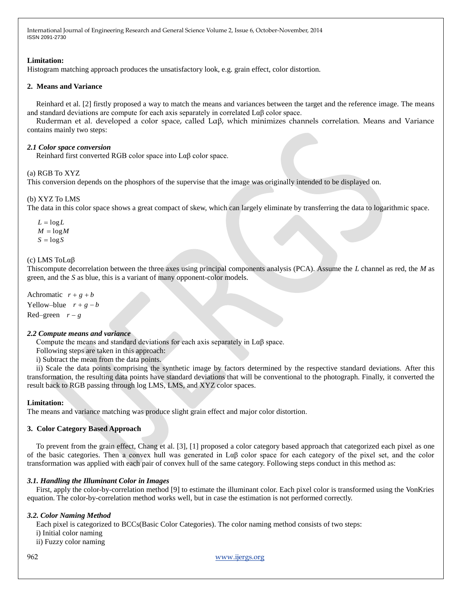# **Limitation:**

Histogram matching approach produces the unsatisfactory look, e.g. grain effect, color distortion.

# **2. Means and Variance**

Reinhard et al. [2] firstly proposed a way to match the means and variances between the target and the reference image. The means and standard deviations are compute for each axis separately in correlated Lαβ color space.

Ruderman et al. developed a color space, called Lαβ, which minimizes channels correlation. Means and Variance contains mainly two steps:

# *2.1 Color space conversion*

Reinhard first converted RGB color space into Lαβ color space.

# (a) RGB To XYZ

This conversion depends on the phosphors of the supervise that the image was originally intended to be displayed on.

# (b) XYZ To LMS

The data in this color space shows a great compact of skew, which can largely eliminate by transferring the data to logarithmic space.

 $L = \log L$  $M = logM$  $S = \log S$ 

# (c) LMS ToLαβ

Thiscompute decorrelation between the three axes using principal components analysis (PCA). Assume the *L* channel as red, the *M* as green, and the *S* as blue, this is a variant of many opponent-color models.

Achromatic  $r + g + b$ Yellow–blue  $r + g - b$ 

Red–green  $r - g$ 

# *2.2 Compute means and variance*

Compute the means and standard deviations for each axis separately in  $L\alpha\beta$  space.

Following steps are taken in this approach:

i) Subtract the mean from the data points.

ii) Scale the data points comprising the synthetic image by factors determined by the respective standard deviations. After this transformation, the resulting data points have standard deviations that will be conventional to the photograph. Finally, it converted the result back to RGB passing through log LMS, LMS, and XYZ color spaces.

# **Limitation:**

The means and variance matching was produce slight grain effect and major color distortion.

# **3. Color Category Based Approach**

To prevent from the grain effect, Chang et al. [3], [1] proposed a color category based approach that categorized each pixel as one of the basic categories. Then a convex hull was generated in  $\text{La}\beta$  color space for each category of the pixel set, and the color transformation was applied with each pair of convex hull of the same category. Following steps conduct in this method as:

# *3.1. Handling the Illuminant Color in Images*

First, apply the color-by-correlation method [9] to estimate the illuminant color. Each pixel color is transformed using the VonKries equation. The color-by-correlation method works well, but in case the estimation is not performed correctly.

# *3.2. Color Naming Method*

Each pixel is categorized to BCCs(Basic Color Categories). The color naming method consists of two steps:

i) Initial color naming

ii) Fuzzy color naming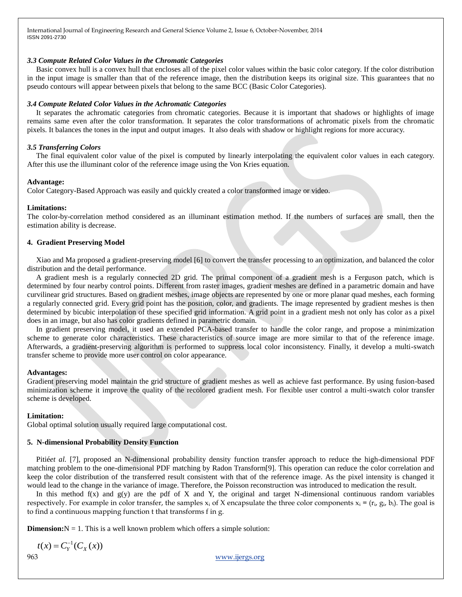#### *3.3 Compute Related Color Values in the Chromatic Categories*

Basic convex hull is a convex hull that encloses all of the pixel color values within the basic color category. If the color distribution in the input image is smaller than that of the reference image, then the distribution keeps its original size. This guarantees that no pseudo contours will appear between pixels that belong to the same BCC (Basic Color Categories).

### *3.4 Compute Related Color Values in the Achromatic Categories*

It separates the achromatic categories from chromatic categories. Because it is important that shadows or highlights of image remains same even after the color transformation. It separates the color transformations of achromatic pixels from the chromatic pixels. It balances the tones in the input and output images. It also deals with shadow or highlight regions for more accuracy.

#### *3.5 Transferring Colors*

The final equivalent color value of the pixel is computed by linearly interpolating the equivalent color values in each category. After this use the illuminant color of the reference image using the Von Kries equation.

### **Advantage:**

Color Category-Based Approach was easily and quickly created a color transformed image or video.

#### **Limitations:**

The color-by-correlation method considered as an illuminant estimation method. If the numbers of surfaces are small, then the estimation ability is decrease.

#### **4. Gradient Preserving Model**

Xiao and Ma proposed a gradient-preserving model [6] to convert the transfer processing to an optimization, and balanced the color distribution and the detail performance.

A gradient mesh is a regularly connected 2D grid. The primal component of a gradient mesh is a Ferguson patch, which is determined by four nearby control points. Different from raster images, gradient meshes are defined in a parametric domain and have curvilinear grid structures. Based on gradient meshes, image objects are represented by one or more planar quad meshes, each forming a regularly connected grid. Every grid point has the position, color, and gradients. The image represented by gradient meshes is then determined by bicubic interpolation of these specified grid information. A grid point in a gradient mesh not only has color as a pixel does in an image, but also has color gradients defined in parametric domain.

In gradient preserving model, it used an extended PCA-based transfer to handle the color range, and propose a minimization scheme to generate color characteristics. These characteristics of source image are more similar to that of the reference image. Afterwards, a gradient-preserving algorithm is performed to suppress local color inconsistency. Finally, it develop a multi-swatch transfer scheme to provide more user control on color appearance.

#### **Advantages:**

Gradient preserving model maintain the grid structure of gradient meshes as well as achieve fast performance. By using fusion-based minimization scheme it improve the quality of the recolored gradient mesh. For flexible user control a multi-swatch color transfer scheme is developed.

#### **Limitation:**

Global optimal solution usually required large computational cost.

# **5. N-dimensional Probability Density Function**

Pitiéet al. [7], proposed an N-dimensional probability density function transfer approach to reduce the high-dimensional PDF matching problem to the one-dimensional PDF matching by Radon Transform[9]. This operation can reduce the color correlation and keep the color distribution of the transferred result consistent with that of the reference image. As the pixel intensity is changed it would lead to the change in the variance of image. Therefore, the Poisson reconstruction was introduced to medication the result.

In this method  $f(x)$  and  $g(y)$  are the pdf of X and Y, the original and target N-dimensional continuous random variables respectively. For example in color transfer, the samples  $x_i$  of X encapsulate the three color components  $x_i = (r_i, g_i, b_i)$ . The goal is to find a continuous mapping function t that transforms f in g.

**Dimension:** $N = 1$ . This is a well known problem which offers a simple solution:

$$
t(x) = C_Y^{-1}(C_X(x))
$$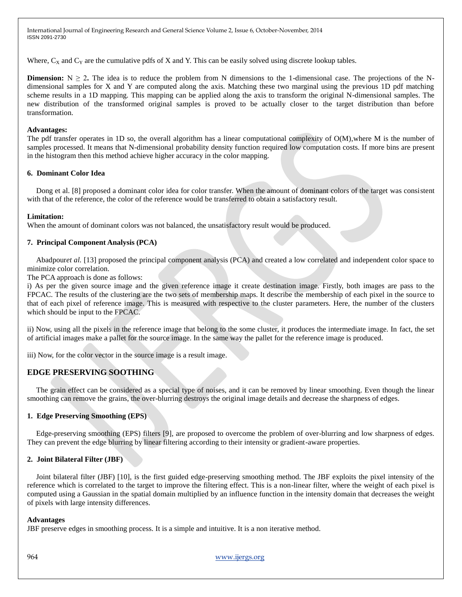Where,  $C_X$  and  $C_Y$  are the cumulative pdfs of X and Y. This can be easily solved using discrete lookup tables.

**Dimension:**  $N \ge 2$ . The idea is to reduce the problem from N dimensions to the 1-dimensional case. The projections of the Ndimensional samples for X and Y are computed along the axis. Matching these two marginal using the previous 1D pdf matching scheme results in a 1D mapping. This mapping can be applied along the axis to transform the original N-dimensional samples. The new distribution of the transformed original samples is proved to be actually closer to the target distribution than before transformation.

#### **Advantages:**

The pdf transfer operates in 1D so, the overall algorithm has a linear computational complexity of O(M),where M is the number of samples processed. It means that N-dimensional probability density function required low computation costs. If more bins are present in the histogram then this method achieve higher accuracy in the color mapping.

#### **6. Dominant Color Idea**

Dong et al. [8] proposed a dominant color idea for color transfer. When the amount of dominant colors of the target was consistent with that of the reference, the color of the reference would be transferred to obtain a satisfactory result.

#### **Limitation:**

When the amount of dominant colors was not balanced, the unsatisfactory result would be produced.

# **7. Principal Component Analysis (PCA)**

Abadpour*et al.* [13] proposed the principal component analysis (PCA) and created a low correlated and independent color space to minimize color correlation.

The PCA approach is done as follows:

i) As per the given source image and the given reference image it create destination image. Firstly, both images are pass to the FPCAC. The results of the clustering are the two sets of membership maps. It describe the membership of each pixel in the source to that of each pixel of reference image. This is measured with respective to the cluster parameters. Here, the number of the clusters which should be input to the FPCAC.

ii) Now, using all the pixels in the reference image that belong to the some cluster, it produces the intermediate image. In fact, the set of artificial images make a pallet for the source image. In the same way the pallet for the reference image is produced.

iii) Now, for the color vector in the source image is a result image*.*

# **EDGE PRESERVING SOOTHING**

The grain effect can be considered as a special type of noises, and it can be removed by linear smoothing. Even though the linear smoothing can remove the grains, the over-blurring destroys the original image details and decrease the sharpness of edges.

# **1. Edge Preserving Smoothing (EPS)**

Edge-preserving smoothing (EPS) filters [9], are proposed to overcome the problem of over-blurring and low sharpness of edges. They can prevent the edge blurring by linear filtering according to their intensity or gradient-aware properties.

# **2. Joint Bilateral Filter (JBF)**

Joint bilateral filter (JBF) [10], is the first guided edge-preserving smoothing method. The JBF exploits the pixel intensity of the reference which is correlated to the target to improve the filtering effect. This is a non-linear filter, where the weight of each pixel is computed using a Gaussian in the spatial domain multiplied by an influence function in the intensity domain that decreases the weight of pixels with large intensity differences.

#### **Advantages**

JBF preserve edges in smoothing process. It is a simple and intuitive. It is a non iterative method.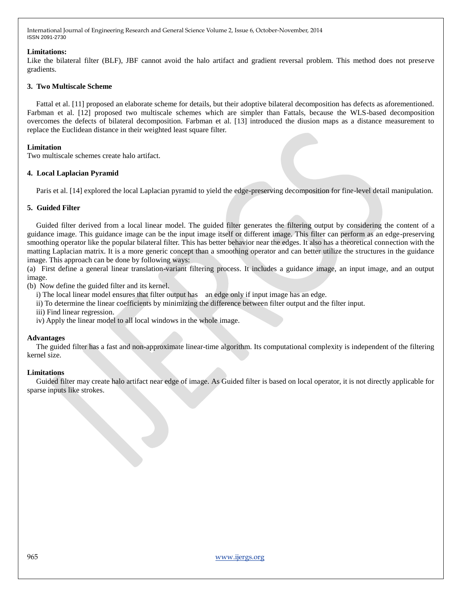# **Limitations:**

Like the bilateral filter (BLF), JBF cannot avoid the halo artifact and gradient reversal problem. This method does not preserve gradients.

#### **3. Two Multiscale Scheme**

Fattal et al. [11] proposed an elaborate scheme for details, but their adoptive bilateral decomposition has defects as aforementioned. Farbman et al. [12] proposed two multiscale schemes which are simpler than Fattals, because the WLS-based decomposition overcomes the defects of bilateral decomposition. Farbman et al. [13] introduced the diusion maps as a distance measurement to replace the Euclidean distance in their weighted least square filter.

#### **Limitation**

Two multiscale schemes create halo artifact.

#### **4. Local Laplacian Pyramid**

Paris et al. [14] explored the local Laplacian pyramid to yield the edge-preserving decomposition for fine-level detail manipulation.

#### **5. Guided Filter**

Guided filter derived from a local linear model. The guided filter generates the filtering output by considering the content of a guidance image. This guidance image can be the input image itself or different image. This filter can perform as an edge-preserving smoothing operator like the popular bilateral filter. This has better behavior near the edges. It also has a theoretical connection with the matting Laplacian matrix. It is a more generic concept than a smoothing operator and can better utilize the structures in the guidance image. This approach can be done by following ways:

(a) First define a general linear translation-variant filtering process. It includes a guidance image, an input image, and an output image.

(b) Now define the guided filter and its kernel.

i) The local linear model ensures that filter output has an edge only if input image has an edge.

ii) To determine the linear coefficients by minimizing the difference between filter output and the filter input.

iii) Find linear regression.

iv) Apply the linear model to all local windows in the whole image.

#### **Advantages**

The guided filter has a fast and non-approximate linear-time algorithm. Its computational complexity is independent of the filtering kernel size.

# **Limitations**

Guided filter may create halo artifact near edge of image. As Guided filter is based on local operator, it is not directly applicable for sparse inputs like strokes.